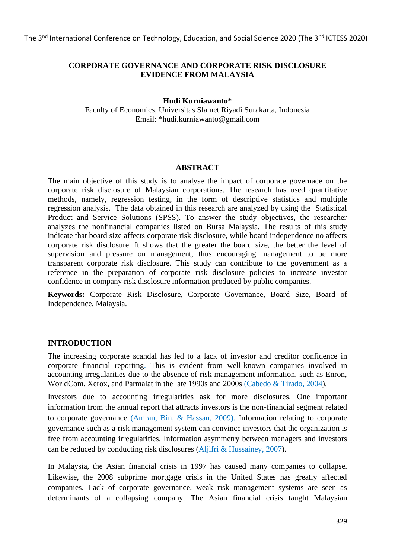## **CORPORATE GOVERNANCE AND CORPORATE RISK DISCLOSURE EVIDENCE FROM MALAYSIA**

#### **Hudi Kurniawanto\***

Faculty of Economics, Universitas Slamet Riyadi Surakarta, Indonesia Email: [\\*hudi.kurniawanto@gmail.com](mailto:*hudi.kurniawanto@gmail.com)

#### **ABSTRACT**

The main objective of this study is to analyse the impact of corporate governace on the corporate risk disclosure of Malaysian corporations. The research has used quantitative methods, namely, regression testing, in the form of descriptive statistics and multiple regression analysis. The data obtained in this research are analyzed by using the Statistical Product and Service Solutions (SPSS). To answer the study objectives, the researcher analyzes the nonfinancial companies listed on Bursa Malaysia. The results of this study indicate that board size affects corporate risk disclosure, while board independence no affects corporate risk disclosure. It shows that the greater the board size, the better the level of supervision and pressure on management, thus encouraging management to be more transparent corporate risk disclosure. This study can contribute to the government as a reference in the preparation of corporate risk disclosure policies to increase investor confidence in company risk disclosure information produced by public companies.

**Keywords:** Corporate Risk Disclosure, Corporate Governance, Board Size, Board of Independence, Malaysia.

## **INTRODUCTION**

The increasing corporate scandal has led to a lack of investor and creditor confidence in corporate financial reporting. This is evident from well-known companies involved in accounting irregularities due to the absence of risk management information, such as Enron, WorldCom, Xerox, and Parmalat in the late 1990s and 2000s (Cabedo & Tirado, 2004).

Investors due to accounting irregularities ask for more disclosures. One important information from the annual report that attracts investors is the non-financial segment related to corporate governance (Amran, Bin, & Hassan, 2009). Information relating to corporate governance such as a risk management system can convince investors that the organization is free from accounting irregularities. Information asymmetry between managers and investors can be reduced by conducting risk disclosures (Aljifri & Hussainey, 2007).

In Malaysia, the Asian financial crisis in 1997 has caused many companies to collapse. Likewise, the 2008 subprime mortgage crisis in the United States has greatly affected companies. Lack of corporate governance, weak risk management systems are seen as determinants of a collapsing company. The Asian financial crisis taught Malaysian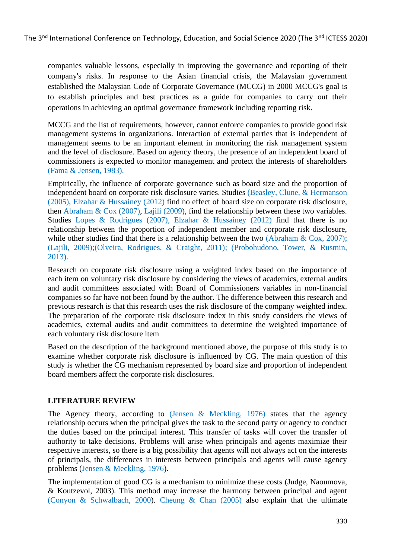companies valuable lessons, especially in improving the governance and reporting of their company's risks. In response to the Asian financial crisis, the Malaysian government established the Malaysian Code of Corporate Governance (MCCG) in 2000 MCCG's goal is to establish principles and best practices as a guide for companies to carry out their operations in achieving an optimal governance framework including reporting risk.

MCCG and the list of requirements, however, cannot enforce companies to provide good risk management systems in organizations. Interaction of external parties that is independent of management seems to be an important element in monitoring the risk management system and the level of disclosure. Based on agency theory, the presence of an independent board of commissioners is expected to monitor management and protect the interests of shareholders (Fama & Jensen, 1983).

Empirically, the influence of corporate governance such as board size and the proportion of independent board on corporate risk disclosure varies. Studies (Beasley, Clune, & Hermanson (2005), Elzahar & Hussainey (2012) find no effect of board size on corporate risk disclosure, then Abraham & Cox (2007), Lajili (2009), find the relationship between these two variables. Studies Lopes & Rodrigues (2007), Elzahar & Hussainey (2012) find that there is no relationship between the proportion of independent member and corporate risk disclosure, while other studies find that there is a relationship between the two (Abraham & Cox, 2007); (Lajili, 2009);(Olveira, Rodrigues, & Craight, 2011); (Probohudono, Tower, & Rusmin, 2013).

Research on corporate risk disclosure using a weighted index based on the importance of each item on voluntary risk disclosure by considering the views of academics, external audits and audit committees associated with Board of Commissioners variables in non-financial companies so far have not been found by the author. The difference between this research and previous research is that this research uses the risk disclosure of the company weighted index. The preparation of the corporate risk disclosure index in this study considers the views of academics, external audits and audit committees to determine the weighted importance of each voluntary risk disclosure item

Based on the description of the background mentioned above, the purpose of this study is to examine whether corporate risk disclosure is influenced by CG. The main question of this study is whether the CG mechanism represented by board size and proportion of independent board members affect the corporate risk disclosures.

## **LITERATURE REVIEW**

The Agency theory, according to (Jensen & Meckling, 1976) states that the agency relationship occurs when the principal gives the task to the second party or agency to conduct the duties based on the principal interest. This transfer of tasks will cover the transfer of authority to take decisions. Problems will arise when principals and agents maximize their respective interests, so there is a big possibility that agents will not always act on the interests of principals, the differences in interests between principals and agents will cause agency problems (Jensen & Meckling, 1976).

The implementation of good CG is a mechanism to minimize these costs (Judge, Naoumova, & Koutzevol, 2003). This method may increase the harmony between principal and agent (Conyon & Schwalbach, 2000). Cheung & Chan (2005) also explain that the ultimate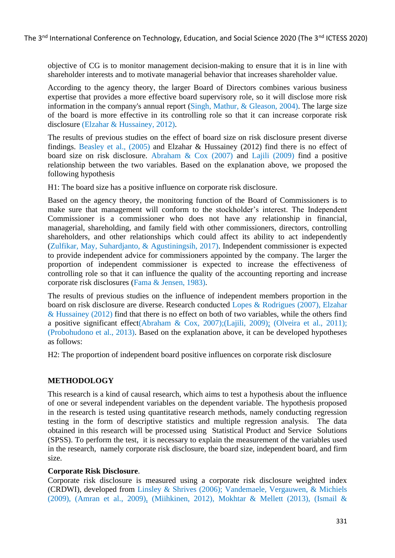objective of CG is to monitor management decision-making to ensure that it is in line with shareholder interests and to motivate managerial behavior that increases shareholder value.

According to the agency theory, the larger Board of Directors combines various business expertise that provides a more effective board supervisory role, so it will disclose more risk information in the company's annual report (Singh, Mathur, & Gleason, 2004). The large size of the board is more effective in its controlling role so that it can increase corporate risk disclosure (Elzahar & Hussainey, 2012).

The results of previous studies on the effect of board size on risk disclosure present diverse findings. Beasley et al., (2005) and Elzahar & Hussainey (2012) find there is no effect of board size on risk disclosure. Abraham & Cox (2007) and Lajili (2009) find a positive relationship between the two variables. Based on the explanation above, we proposed the following hypothesis

H1: The board size has a positive influence on corporate risk disclosure.

Based on the agency theory, the monitoring function of the Board of Commissioners is to make sure that management will conform to the stockholder's interest. The Independent Commissioner is a commissioner who does not have any relationship in financial, managerial, shareholding, and family field with other commissioners, directors, controlling shareholders, and other relationships which could affect its ability to act independently (Zulfikar, May, Suhardjanto, & Agustiningsih, 2017). Independent commissioner is expected to provide independent advice for commissioners appointed by the company. The larger the proportion of independent commissioner is expected to increase the effectiveness of controlling role so that it can influence the quality of the accounting reporting and increase corporate risk disclosures (Fama & Jensen, 1983).

The results of previous studies on the influence of independent members proportion in the board on risk disclosure are diverse. Research conducted Lopes & Rodrigues (2007), Elzahar & Hussainey (2012) find that there is no effect on both of two variables, while the others find a positive significant effect(Abraham & Cox, 2007);(Lajili, 2009); (Olveira et al., 2011); (Probohudono et al., 2013). Based on the explanation above, it can be developed hypotheses as follows:

H2: The proportion of independent board positive influences on corporate risk disclosure

## **METHODOLOGY**

This research is a kind of causal research, which aims to test a hypothesis about the influence of one or several independent variables on the dependent variable. The hypothesis proposed in the research is tested using quantitative research methods, namely conducting regression testing in the form of descriptive statistics and multiple regression analysis. The data obtained in this research will be processed using Statistical Product and Service Solutions (SPSS). To perform the test, it is necessary to explain the measurement of the variables used in the research, namely corporate risk disclosure, the board size, independent board, and firm size.

#### **Corporate Risk Disclosure**.

Corporate risk disclosure is measured using a corporate risk disclosure weighted index (CRDWI), developed from Linsley & Shrives (2006); Vandemaele, Vergauwen, & Michiels (2009), (Amran et al., 2009), (Miihkinen, 2012), Mokhtar & Mellett (2013), (Ismail &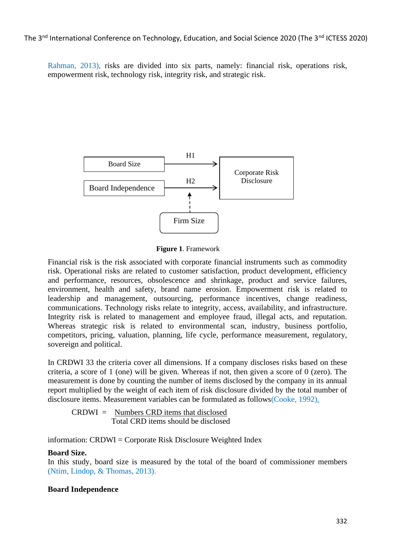Rahman, 2013), risks are divided into six parts, namely: financial risk, operations risk, empowerment risk, technology risk, integrity risk, and strategic risk.



**Figure 1**. Framework

Financial risk is the risk associated with corporate financial instruments such as commodity risk. Operational risks are related to customer satisfaction, product development, efficiency and performance, resources, obsolescence and shrinkage, product and service failures, environment, health and safety, brand name erosion. Empowerment risk is related to leadership and management, outsourcing, performance incentives, change readiness, communications. Technology risks relate to integrity, access, availability, and infrastructure. Integrity risk is related to management and employee fraud, illegal acts, and reputation. Whereas strategic risk is related to environmental scan, industry, business portfolio, competitors, pricing, valuation, planning, life cycle, performance measurement, regulatory, sovereign and political.

In CRDWI 33 the criteria cover all dimensions. If a company discloses risks based on these criteria, a score of 1 (one) will be given. Whereas if not, then given a score of 0 (zero). The measurement is done by counting the number of items disclosed by the company in its annual report multiplied by the weight of each item of risk disclosure divided by the total number of disclosure items. Measurement variables can be formulated as follows(Cooke, 1992).

CRDWI = Numbers CRD items that disclosed Total CRD items should be disclosed

information: CRDWI = Corporate Risk Disclosure Weighted Index

#### **Board Size.**

In this study, board size is measured by the total of the board of commissioner members (Ntim, Lindop, & Thomas, 2013).

#### **Board Independence**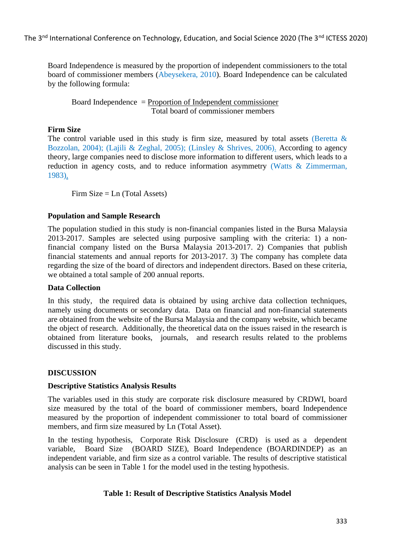Board Independence is measured by the proportion of independent commissioners to the total board of commissioner members (Abeysekera, 2010). Board Independence can be calculated by the following formula:

Board Independence = Proportion of Independent commissioner Total board of commissioner members

## **Firm Size**

The control variable used in this study is firm size, measured by total assets (Beretta  $\&$ Bozzolan, 2004); (Lajili & Zeghal, 2005); (Linsley & Shrives, 2006). According to agency theory, large companies need to disclose more information to different users, which leads to a reduction in agency costs, and to reduce information asymmetry (Watts & Zimmerman, 1983).

Firm  $Size = Ln (Total Assets)$ 

## **Population and Sample Research**

The population studied in this study is non-financial companies listed in the Bursa Malaysia 2013-2017. Samples are selected using purposive sampling with the criteria: 1) a nonfinancial company listed on the Bursa Malaysia 2013-2017. 2) Companies that publish financial statements and annual reports for 2013-2017. 3) The company has complete data regarding the size of the board of directors and independent directors. Based on these criteria, we obtained a total sample of 200 annual reports.

## **Data Collection**

In this study, the required data is obtained by using archive data collection techniques, namely using documents or secondary data. Data on financial and non-financial statements are obtained from the website of the Bursa Malaysia and the company website, which became the object of research. Additionally, the theoretical data on the issues raised in the research is obtained from literature books, journals, and research results related to the problems discussed in this study.

## **DISCUSSION**

## **Descriptive Statistics Analysis Results**

The variables used in this study are corporate risk disclosure measured by CRDWI, board size measured by the total of the board of commissioner members, board Independence measured by the proportion of independent commissioner to total board of commissioner members, and firm size measured by Ln (Total Asset).

In the testing hypothesis, Corporate Risk Disclosure (CRD) is used as a dependent variable, Board Size (BOARD SIZE), Board Independence (BOARDINDEP) as an independent variable, and firm size as a control variable. The results of descriptive statistical analysis can be seen in Table 1 for the model used in the testing hypothesis.

# **Table 1: Result of Descriptive Statistics Analysis Model**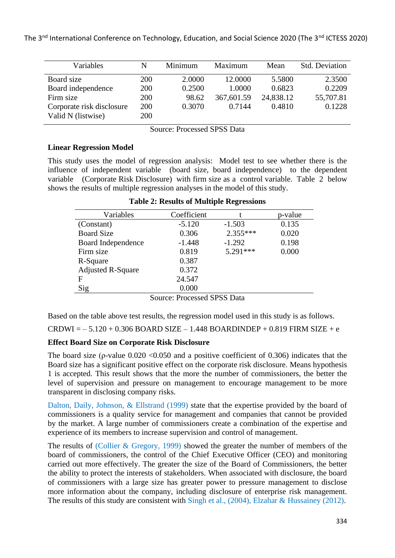| Variables                 | N   | Minimum | Maximum    | Mean      | <b>Std. Deviation</b> |
|---------------------------|-----|---------|------------|-----------|-----------------------|
| Board size                | 200 | 2.0000  | 12.0000    | 5.5800    | 2.3500                |
| Board independence        | 200 | 0.2500  | 1.0000     | 0.6823    | 0.2209                |
| Firm size                 | 200 | 98.62   | 367,601.59 | 24,838.12 | 55,707.81             |
| Corporate risk disclosure | 200 | 0.3070  | 0.7144     | 0.4810    | 0.1228                |
| Valid N (listwise)        | 200 |         |            |           |                       |

Source: Processed SPSS Data

## **Linear Regression Model**

This study uses the model of regression analysis: Model test to see whether there is the influence of independent variable (board size, board independence) to the dependent variable (Corporate Risk Disclosure) with firm size as a control variable. Table 2 below shows the results of multiple regression analyses in the model of this study.

| Variables                | Coefficient |            | p-value |
|--------------------------|-------------|------------|---------|
| (Constant)               | $-5.120$    | $-1.503$   | 0.135   |
| <b>Board Size</b>        | 0.306       | $2.355***$ | 0.020   |
| Board Independence       | $-1.448$    | $-1.292$   | 0.198   |
| Firm size                | 0.819       | $5.291***$ | 0.000   |
| R-Square                 | 0.387       |            |         |
| <b>Adjusted R-Square</b> | 0.372       |            |         |
| F                        | 24.547      |            |         |
| Sig                      | 0.000       |            |         |

|  |  | <b>Table 2: Results of Multiple Regressions</b> |
|--|--|-------------------------------------------------|
|  |  |                                                 |

Source: Processed SPSS Data

Based on the table above test results, the regression model used in this study is as follows.

 $CRDWI = -5.120 + 0.306 BOARD SIZE - 1.448 BOARDINDER + 0.819 FIRM SIZE + e$ 

## **Effect Board Size on Corporate Risk Disclosure**

The board size ( $\rho$ -value 0.020 <0.050 and a positive coefficient of 0.306) indicates that the Board size has a significant positive effect on the corporate risk disclosure. Means hypothesis 1 is accepted. This result shows that the more the number of commissioners, the better the level of supervision and pressure on management to encourage management to be more transparent in disclosing company risks.

Dalton, Daily, Johnson, & Ellstrand (1999) state that the expertise provided by the board of commissioners is a quality service for management and companies that cannot be provided by the market. A large number of commissioners create a combination of the expertise and experience of its members to increase supervision and control of management.

The results of (Collier & Gregory, 1999) showed the greater the number of members of the board of commissioners, the control of the Chief Executive Officer (CEO) and monitoring carried out more effectively. The greater the size of the Board of Commissioners, the better the ability to protect the interests of stakeholders. When associated with disclosure, the board of commissioners with a large size has greater power to pressure management to disclose more information about the company, including disclosure of enterprise risk management. The results of this study are consistent with Singh et al., (2004), Elzahar & Hussainey (2012).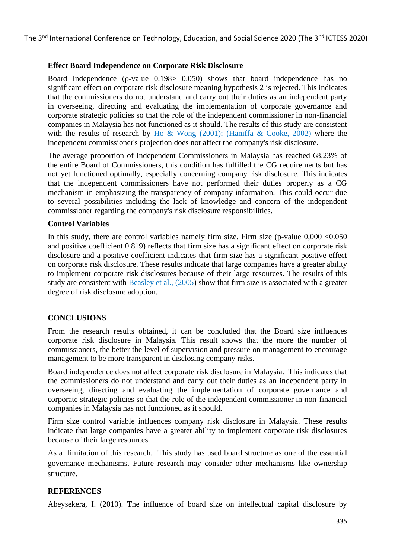## **Effect Board Independence on Corporate Risk Disclosure**

Board Independence (ρ-value 0.198> 0.050) shows that board independence has no significant effect on corporate risk disclosure meaning hypothesis 2 is rejected. This indicates that the commissioners do not understand and carry out their duties as an independent party in overseeing, directing and evaluating the implementation of corporate governance and corporate strategic policies so that the role of the independent commissioner in non-financial companies in Malaysia has not functioned as it should. The results of this study are consistent with the results of research by Ho & Wong (2001); (Haniffa & Cooke, 2002) where the independent commissioner's projection does not affect the company's risk disclosure.

The average proportion of Independent Commissioners in Malaysia has reached 68.23% of the entire Board of Commissioners, this condition has fulfilled the CG requirements but has not yet functioned optimally, especially concerning company risk disclosure. This indicates that the independent commissioners have not performed their duties properly as a CG mechanism in emphasizing the transparency of company information. This could occur due to several possibilities including the lack of knowledge and concern of the independent commissioner regarding the company's risk disclosure responsibilities.

#### **Control Variables**

In this study, there are control variables namely firm size. Firm size (p-value  $0.000 < 0.050$ ) and positive coefficient 0.819) reflects that firm size has a significant effect on corporate risk disclosure and a positive coefficient indicates that firm size has a significant positive effect on corporate risk disclosure. These results indicate that large companies have a greater ability to implement corporate risk disclosures because of their large resources. The results of this study are consistent with Beasley et al., (2005) show that firm size is associated with a greater degree of risk disclosure adoption.

## **CONCLUSIONS**

From the research results obtained, it can be concluded that the Board size influences corporate risk disclosure in Malaysia. This result shows that the more the number of commissioners, the better the level of supervision and pressure on management to encourage management to be more transparent in disclosing company risks.

Board independence does not affect corporate risk disclosure in Malaysia. This indicates that the commissioners do not understand and carry out their duties as an independent party in overseeing, directing and evaluating the implementation of corporate governance and corporate strategic policies so that the role of the independent commissioner in non-financial companies in Malaysia has not functioned as it should.

Firm size control variable influences company risk disclosure in Malaysia. These results indicate that large companies have a greater ability to implement corporate risk disclosures because of their large resources.

As a limitation of this research, This study has used board structure as one of the essential governance mechanisms. Future research may consider other mechanisms like ownership structure.

## **REFERENCES**

Abeysekera, I. (2010). The influence of board size on intellectual capital disclosure by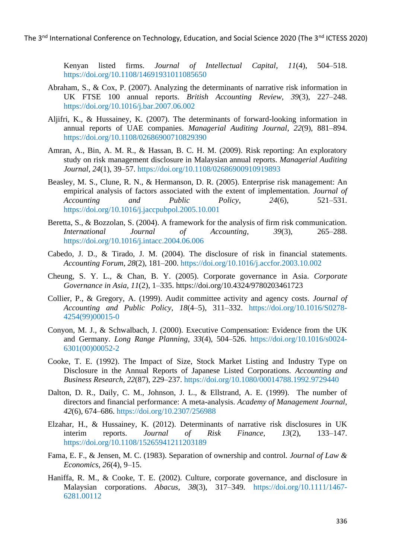Kenyan listed firms. *Journal of Intellectual Capital*, *11*(4), 504–518. https://doi.org/10.1108/14691931011085650

- Abraham, S., & Cox, P. (2007). Analyzing the determinants of narrative risk information in UK FTSE 100 annual reports. *British Accounting Review*, *39*(3), 227–248. https://doi.org/10.1016/j.bar.2007.06.002
- Aljifri, K., & Hussainey, K. (2007). The determinants of forward-looking information in annual reports of UAE companies. *Managerial Auditing Journal*, *22*(9), 881–894. https://doi.org/10.1108/02686900710829390
- Amran, A., Bin, A. M. R., & Hassan, B. C. H. M. (2009). Risk reporting: An exploratory study on risk management disclosure in Malaysian annual reports. *Managerial Auditing Journal*, *24*(1), 39–57. https://doi.org/10.1108/02686900910919893
- Beasley, M. S., Clune, R. N., & Hermanson, D. R. (2005). Enterprise risk management: An empirical analysis of factors associated with the extent of implementation. *Journal of Accounting and Public Policy*, *24*(6), 521–531. https://doi.org/10.1016/j.jaccpubpol.2005.10.001
- Beretta, S., & Bozzolan, S. (2004). A framework for the analysis of firm risk communication. *International Journal of Accounting*, *39*(3), 265–288. https://doi.org/10.1016/j.intacc.2004.06.006
- Cabedo, J. D., & Tirado, J. M. (2004). The disclosure of risk in financial statements. *Accounting Forum*, *28*(2), 181–200. https://doi.org/10.1016/j.accfor.2003.10.002
- Cheung, S. Y. L., & Chan, B. Y. (2005). Corporate governance in Asia. *Corporate Governance in Asia*, *11*(2), 1–335. https://doi.org/10.4324/9780203461723
- Collier, P., & Gregory, A. (1999). Audit committee activity and agency costs. *Journal of Accounting and Public Policy*, *18*(4–5), 311–332. https://doi.org/10.1016/S0278- 4254(99)00015-0
- Conyon, M. J., & Schwalbach, J. (2000). Executive Compensation: Evidence from the UK and Germany. *Long Range Planning*, *33*(4), 504–526. https://doi.org/10.1016/s0024- 6301(00)00052-2
- Cooke, T. E. (1992). The Impact of Size, Stock Market Listing and Industry Type on Disclosure in the Annual Reports of Japanese Listed Corporations. *Accounting and Business Research*, *22*(87), 229–237. https://doi.org/10.1080/00014788.1992.9729440
- Dalton, D. R., Daily, C. M., Johnson, J. L., & Ellstrand, A. E. (1999). The number of directors and financial performance: A meta-analysis. *Academy of Management Journal*, *42*(6), 674–686. https://doi.org/10.2307/256988
- Elzahar, H., & Hussainey, K. (2012). Determinants of narrative risk disclosures in UK interim reports. *Journal of Risk Finance*, *13*(2), 133–147. https://doi.org/10.1108/15265941211203189
- Fama, E. F., & Jensen, M. C. (1983). Separation of ownership and control. *Journal of Law & Economics*, *26*(4), 9–15.
- Haniffa, R. M., & Cooke, T. E. (2002). Culture, corporate governance, and disclosure in Malaysian corporations. *Abacus*, *38*(3), 317–349. https://doi.org/10.1111/1467- 6281.00112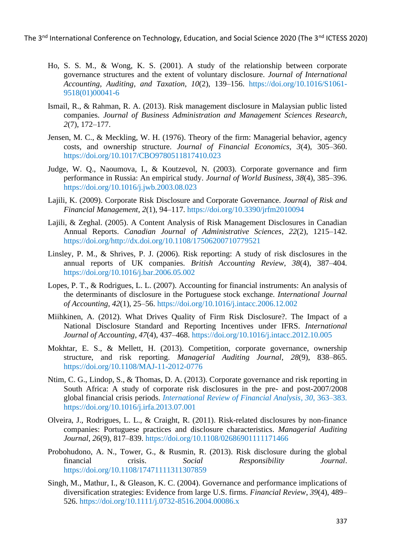- Ho, S. S. M., & Wong, K. S. (2001). A study of the relationship between corporate governance structures and the extent of voluntary disclosure. *Journal of International Accounting, Auditing, and Taxation*, *10*(2), 139–156. https://doi.org/10.1016/S1061- 9518(01)00041-6
- Ismail, R., & Rahman, R. A. (2013). Risk management disclosure in Malaysian public listed companies. *Journal of Business Administration and Management Sciences Research*, *2*(7), 172–177.
- Jensen, M. C., & Meckling, W. H. (1976). Theory of the firm: Managerial behavior, agency costs, and ownership structure. *Journal of Financial Economics*, *3*(4), 305–360. https://doi.org/10.1017/CBO9780511817410.023
- Judge, W. Q., Naoumova, I., & Koutzevol, N. (2003). Corporate governance and firm performance in Russia: An empirical study. *Journal of World Business*, *38*(4), 385–396. https://doi.org/10.1016/j.jwb.2003.08.023
- Lajili, K. (2009). Corporate Risk Disclosure and Corporate Governance. *Journal of Risk and Financial Management*, *2*(1), 94–117. https://doi.org/10.3390/jrfm2010094
- Lajili, & Zeghal. (2005). A Content Analysis of Risk Management Disclosures in Canadian Annual Reports. *Canadian Journal of Administrative Sciences*, *22*(2), 1215–142. https://doi.org/http://dx.doi.org/10.1108/17506200710779521
- Linsley, P. M., & Shrives, P. J. (2006). Risk reporting: A study of risk disclosures in the annual reports of UK companies. *British Accounting Review*, *38*(4), 387–404. https://doi.org/10.1016/j.bar.2006.05.002
- Lopes, P. T., & Rodrigues, L. L. (2007). Accounting for financial instruments: An analysis of the determinants of disclosure in the Portuguese stock exchange. *International Journal of Accounting*, *42*(1), 25–56. https://doi.org/10.1016/j.intacc.2006.12.002
- Miihkinen, A. (2012). What Drives Quality of Firm Risk Disclosure?. The Impact of a National Disclosure Standard and Reporting Incentives under IFRS. *International Journal of Accounting*, *47*(4), 437–468. https://doi.org/10.1016/j.intacc.2012.10.005
- Mokhtar, E. S., & Mellett, H. (2013). Competition, corporate governance, ownership structure, and risk reporting. *Managerial Auditing Journal*, *28*(9), 838–865. https://doi.org/10.1108/MAJ-11-2012-0776
- Ntim, C. G., Lindop, S., & Thomas, D. A. (2013). Corporate governance and risk reporting in South Africa: A study of corporate risk disclosures in the pre- and post-2007/2008 global financial crisis periods. *International Review of Financial Analysis*, *30*, 363–383. https://doi.org/10.1016/j.irfa.2013.07.001
- Olveira, J., Rodrigues, L. L., & Craight, R. (2011). Risk-related disclosures by non-finance companies: Portuguese practices and disclosure characteristics. *Managerial Auditing Journal*, *26*(9), 817–839. https://doi.org/10.1108/02686901111171466
- Probohudono, A. N., Tower, G., & Rusmin, R. (2013). Risk disclosure during the global financial crisis. *Social Responsibility Journal*. https://doi.org/10.1108/17471111311307859
- Singh, M., Mathur, I., & Gleason, K. C. (2004). Governance and performance implications of diversification strategies: Evidence from large U.S. firms. *Financial Review*, *39*(4), 489– 526. https://doi.org/10.1111/j.0732-8516.2004.00086.x